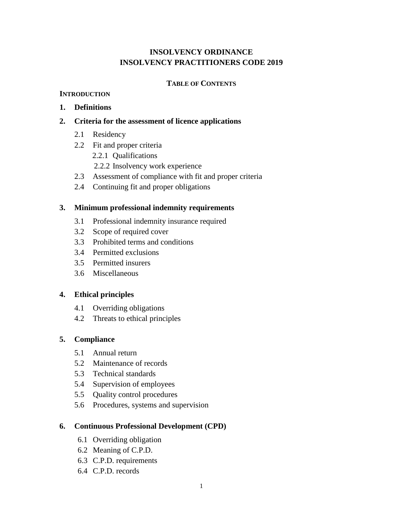# **INSOLVENCY ORDINANCE INSOLVENCY PRACTITIONERS CODE 2019**

## **TABLE OF CONTENTS**

## **INTRODUCTION**

# **1. Definitions**

# **2. Criteria for the assessment of licence applications**

- 2.1 Residency
- 2.2 Fit and proper criteria
	- 2.2.1 Qualifications
	- 2.2.2 Insolvency work experience
- 2.3 Assessment of compliance with fit and proper criteria
- 2.4 Continuing fit and proper obligations

# **3. Minimum professional indemnity requirements**

- 3.1 Professional indemnity insurance required
- 3.2 Scope of required cover
- 3.3 Prohibited terms and conditions
- 3.4 Permitted exclusions
- 3.5 Permitted insurers
- 3.6 Miscellaneous

## **4. Ethical principles**

- 4.1 Overriding obligations
- 4.2 Threats to ethical principles

# **5. Compliance**

- 5.1 Annual return
- 5.2 Maintenance of records
- 5.3 Technical standards
- 5.4 Supervision of employees
- 5.5 Quality control procedures
- 5.6 Procedures, systems and supervision

## **6. Continuous Professional Development (CPD)**

- 6.1 Overriding obligation
- 6.2 Meaning of C.P.D.
- 6.3 C.P.D. requirements
- 6.4 C.P.D. records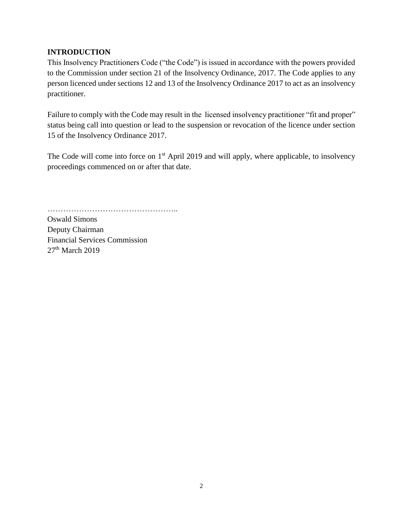# **INTRODUCTION**

This Insolvency Practitioners Code ("the Code") is issued in accordance with the powers provided to the Commission under section 21 of the Insolvency Ordinance, 2017. The Code applies to any person licenced under sections 12 and 13 of the Insolvency Ordinance 2017 to act as an insolvency practitioner.

Failure to comply with the Code may result in the licensed insolvency practitioner "fit and proper" status being call into question or lead to the suspension or revocation of the licence under section 15 of the Insolvency Ordinance 2017.

The Code will come into force on 1<sup>st</sup> April 2019 and will apply, where applicable, to insolvency proceedings commenced on or after that date.

…………………………………………..

Oswald Simons Deputy Chairman Financial Services Commission 27<sup>th</sup> March 2019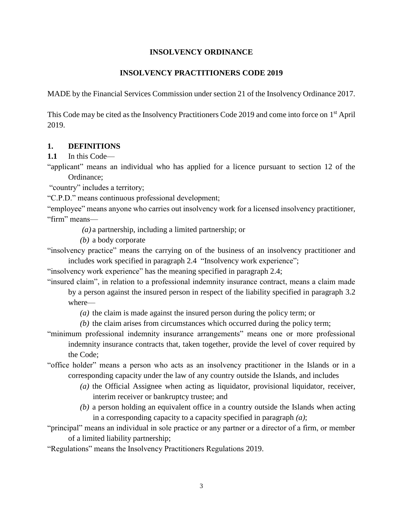#### **INSOLVENCY ORDINANCE**

#### **INSOLVENCY PRACTITIONERS CODE 2019**

MADE by the Financial Services Commission under section 21 of the Insolvency Ordinance 2017.

This Code may be cited as the Insolvency Practitioners Code 2019 and come into force on 1<sup>st</sup> April 2019.

#### **1. DEFINITIONS**

**1.1** In this Code—

"applicant" means an individual who has applied for a licence pursuant to section 12 of the Ordinance;

"country" includes a territory;

"C.P.D." means continuous professional development;

"employee" means anyone who carries out insolvency work for a licensed insolvency practitioner, "firm" means—

*(a)* a partnership, including a limited partnership; or

*(b)* a body corporate

"insolvency practice" means the carrying on of the business of an insolvency practitioner and includes work specified in paragraph 2.4 "Insolvency work experience";

"insolvency work experience" has the meaning specified in paragraph 2.4;

"insured claim", in relation to a professional indemnity insurance contract, means a claim made by a person against the insured person in respect of the liability specified in paragraph 3.2

where—

*(a)* the claim is made against the insured person during the policy term; or

*(b)* the claim arises from circumstances which occurred during the policy term;

"minimum professional indemnity insurance arrangements" means one or more professional indemnity insurance contracts that, taken together, provide the level of cover required by the Code;

"office holder" means a person who acts as an insolvency practitioner in the Islands or in a corresponding capacity under the law of any country outside the Islands, and includes

- *(a)* the Official Assignee when acting as liquidator, provisional liquidator, receiver, interim receiver or bankruptcy trustee; and
- *(b)* a person holding an equivalent office in a country outside the Islands when acting in a corresponding capacity to a capacity specified in paragraph *(a)*;

"principal" means an individual in sole practice or any partner or a director of a firm, or member of a limited liability partnership;

"Regulations" means the Insolvency Practitioners Regulations 2019.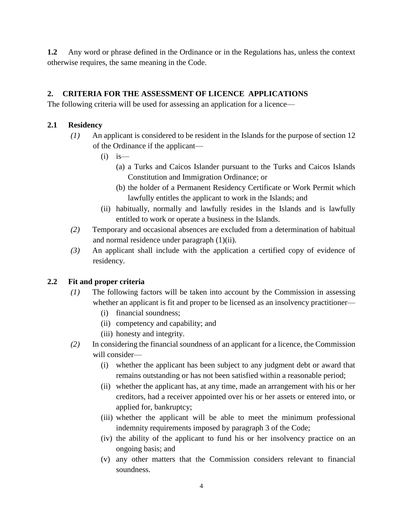**1.2** Any word or phrase defined in the Ordinance or in the Regulations has, unless the context otherwise requires, the same meaning in the Code.

# **2. CRITERIA FOR THE ASSESSMENT OF LICENCE APPLICATIONS**

The following criteria will be used for assessing an application for a licence—

## **2.1 Residency**

- *(1)* An applicant is considered to be resident in the Islands for the purpose of section 12 of the Ordinance if the applicant—
	- $(i)$  is—
		- (a) a Turks and Caicos Islander pursuant to the Turks and Caicos Islands Constitution and Immigration Ordinance; or
		- (b) the holder of a Permanent Residency Certificate or Work Permit which lawfully entitles the applicant to work in the Islands; and
	- (ii) habitually, normally and lawfully resides in the Islands and is lawfully entitled to work or operate a business in the Islands.
- *(2)* Temporary and occasional absences are excluded from a determination of habitual and normal residence under paragraph (1)(ii).
- *(3)* An applicant shall include with the application a certified copy of evidence of residency.

## **2.2 Fit and proper criteria**

- *(1)* The following factors will be taken into account by the Commission in assessing whether an applicant is fit and proper to be licensed as an insolvency practitioner—
	- (i) financial soundness;
	- (ii) competency and capability; and
	- (iii) honesty and integrity.
- *(2)* In considering the financial soundness of an applicant for a licence, the Commission will consider—
	- (i) whether the applicant has been subject to any judgment debt or award that remains outstanding or has not been satisfied within a reasonable period;
	- (ii) whether the applicant has, at any time, made an arrangement with his or her creditors, had a receiver appointed over his or her assets or entered into, or applied for, bankruptcy;
	- (iii) whether the applicant will be able to meet the minimum professional indemnity requirements imposed by paragraph 3 of the Code;
	- (iv) the ability of the applicant to fund his or her insolvency practice on an ongoing basis; and
	- (v) any other matters that the Commission considers relevant to financial soundness.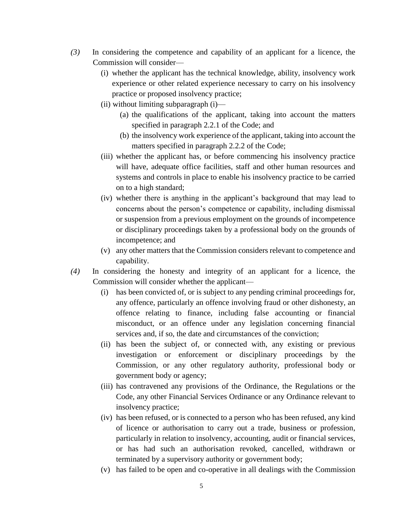- *(3)* In considering the competence and capability of an applicant for a licence, the Commission will consider—
	- (i) whether the applicant has the technical knowledge, ability, insolvency work experience or other related experience necessary to carry on his insolvency practice or proposed insolvency practice;
	- (ii) without limiting subparagraph (i)—
		- (a) the qualifications of the applicant, taking into account the matters specified in paragraph 2.2.1 of the Code; and
		- (b) the insolvency work experience of the applicant, taking into account the matters specified in paragraph 2.2.2 of the Code;
	- (iii) whether the applicant has, or before commencing his insolvency practice will have, adequate office facilities, staff and other human resources and systems and controls in place to enable his insolvency practice to be carried on to a high standard;
	- (iv) whether there is anything in the applicant's background that may lead to concerns about the person's competence or capability, including dismissal or suspension from a previous employment on the grounds of incompetence or disciplinary proceedings taken by a professional body on the grounds of incompetence; and
	- (v) any other matters that the Commission considers relevant to competence and capability.
- *(4)* In considering the honesty and integrity of an applicant for a licence, the Commission will consider whether the applicant—
	- (i) has been convicted of, or is subject to any pending criminal proceedings for, any offence, particularly an offence involving fraud or other dishonesty, an offence relating to finance, including false accounting or financial misconduct, or an offence under any legislation concerning financial services and, if so, the date and circumstances of the conviction;
	- (ii) has been the subject of, or connected with, any existing or previous investigation or enforcement or disciplinary proceedings by the Commission, or any other regulatory authority, professional body or government body or agency;
	- (iii) has contravened any provisions of the Ordinance, the Regulations or the Code, any other Financial Services Ordinance or any Ordinance relevant to insolvency practice;
	- (iv) has been refused, or is connected to a person who has been refused, any kind of licence or authorisation to carry out a trade, business or profession, particularly in relation to insolvency, accounting, audit or financial services, or has had such an authorisation revoked, cancelled, withdrawn or terminated by a supervisory authority or government body;
	- (v) has failed to be open and co-operative in all dealings with the Commission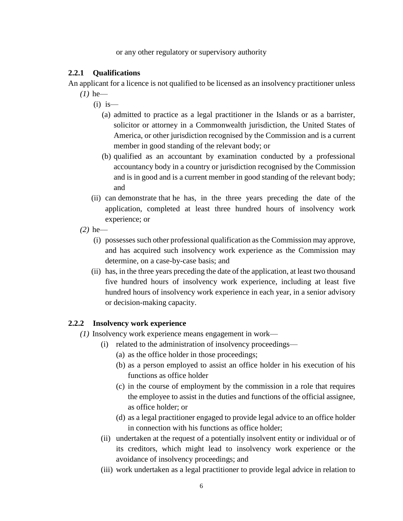or any other regulatory or supervisory authority

## **2.2.1 Qualifications**

An applicant for a licence is not qualified to be licensed as an insolvency practitioner unless *(1)* he—

- $(i)$  is
	- (a) admitted to practice as a legal practitioner in the Islands or as a barrister, solicitor or attorney in a Commonwealth jurisdiction, the United States of America, or other jurisdiction recognised by the Commission and is a current member in good standing of the relevant body; or
	- (b) qualified as an accountant by examination conducted by a professional accountancy body in a country or jurisdiction recognised by the Commission and is in good and is a current member in good standing of the relevant body; and
- (ii) can demonstrate that he has, in the three years preceding the date of the application, completed at least three hundred hours of insolvency work experience; or
- *(2)* he—
	- (i) possesses such other professional qualification as the Commission may approve, and has acquired such insolvency work experience as the Commission may determine, on a case-by-case basis; and
	- (ii) has, in the three years preceding the date of the application, at least two thousand five hundred hours of insolvency work experience, including at least five hundred hours of insolvency work experience in each year, in a senior advisory or decision-making capacity.

## **2.2.2 Insolvency work experience**

- *(1)* Insolvency work experience means engagement in work—
	- (i) related to the administration of insolvency proceedings—
		- (a) as the office holder in those proceedings;
		- (b) as a person employed to assist an office holder in his execution of his functions as office holder
		- (c) in the course of employment by the commission in a role that requires the employee to assist in the duties and functions of the official assignee, as office holder; or
		- (d) as a legal practitioner engaged to provide legal advice to an office holder in connection with his functions as office holder;
	- (ii) undertaken at the request of a potentially insolvent entity or individual or of its creditors, which might lead to insolvency work experience or the avoidance of insolvency proceedings; and
	- (iii) work undertaken as a legal practitioner to provide legal advice in relation to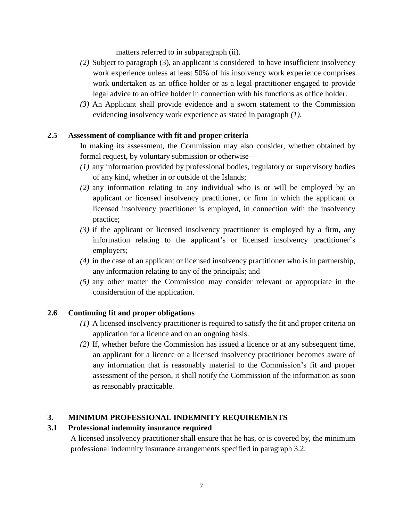matters referred to in subparagraph (ii).

- *(2)* Subject to paragraph (3), an applicant is considered to have insufficient insolvency work experience unless at least 50% of his insolvency work experience comprises work undertaken as an office holder or as a legal practitioner engaged to provide legal advice to an office holder in connection with his functions as office holder.
- *(3)* An Applicant shall provide evidence and a sworn statement to the Commission evidencing insolvency work experience as stated in paragraph *(1)*.

## **2.5 Assessment of compliance with fit and proper criteria**

In making its assessment, the Commission may also consider, whether obtained by formal request, by voluntary submission or otherwise—

- *(1)* any information provided by professional bodies, regulatory or supervisory bodies of any kind, whether in or outside of the Islands;
- *(2)* any information relating to any individual who is or will be employed by an applicant or licensed insolvency practitioner, or firm in which the applicant or licensed insolvency practitioner is employed, in connection with the insolvency practice;
- *(3)* if the applicant or licensed insolvency practitioner is employed by a firm, any information relating to the applicant's or licensed insolvency practitioner's employers;
- *(4)* in the case of an applicant or licensed insolvency practitioner who is in partnership, any information relating to any of the principals; and
- *(5)* any other matter the Commission may consider relevant or appropriate in the consideration of the application.

## **2.6 Continuing fit and proper obligations**

- *(1)* A licensed insolvency practitioner is required to satisfy the fit and proper criteria on application for a licence and on an ongoing basis.
- *(2)* If, whether before the Commission has issued a licence or at any subsequent time, an applicant for a licence or a licensed insolvency practitioner becomes aware of any information that is reasonably material to the Commission's fit and proper assessment of the person, it shall notify the Commission of the information as soon as reasonably practicable.

## **3. MINIMUM PROFESSIONAL INDEMNITY REQUIREMENTS**

## **3.1 Professional indemnity insurance required**

A licensed insolvency practitioner shall ensure that he has, or is covered by, the minimum professional indemnity insurance arrangements specified in paragraph 3.2.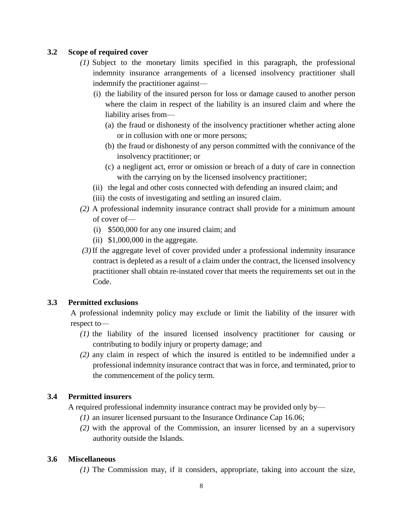## **3.2 Scope of required cover**

- *(1)* Subject to the monetary limits specified in this paragraph, the professional indemnity insurance arrangements of a licensed insolvency practitioner shall indemnify the practitioner against—
	- (i) the liability of the insured person for loss or damage caused to another person where the claim in respect of the liability is an insured claim and where the liability arises from—
		- (a) the fraud or dishonesty of the insolvency practitioner whether acting alone or in collusion with one or more persons;
		- (b) the fraud or dishonesty of any person committed with the connivance of the insolvency practitioner; or
		- (c) a negligent act, error or omission or breach of a duty of care in connection with the carrying on by the licensed insolvency practitioner;
	- (ii) the legal and other costs connected with defending an insured claim; and
	- (iii) the costs of investigating and settling an insured claim.
- *(2)* A professional indemnity insurance contract shall provide for a minimum amount of cover of—
	- (i) \$500,000 for any one insured claim; and
	- (ii)  $$1,000,000$  in the aggregate.
- *(3)*If the aggregate level of cover provided under a professional indemnity insurance contract is depleted as a result of a claim under the contract, the licensed insolvency practitioner shall obtain re-instated cover that meets the requirements set out in the Code.

## **3.3 Permitted exclusions**

A professional indemnity policy may exclude or limit the liability of the insurer with respect to—

- *(1)* the liability of the insured licensed insolvency practitioner for causing or contributing to bodily injury or property damage; and
- *(2)* any claim in respect of which the insured is entitled to be indemnified under a professional indemnity insurance contract that was in force, and terminated, prior to the commencement of the policy term.

## **3.4 Permitted insurers**

A required professional indemnity insurance contract may be provided only by—

- *(1)* an insurer licensed pursuant to the Insurance Ordinance Cap 16.06;
- *(2)* with the approval of the Commission, an insurer licensed by an a supervisory authority outside the Islands.

#### **3.6 Miscellaneous**

*(1)* The Commission may, if it considers, appropriate, taking into account the size,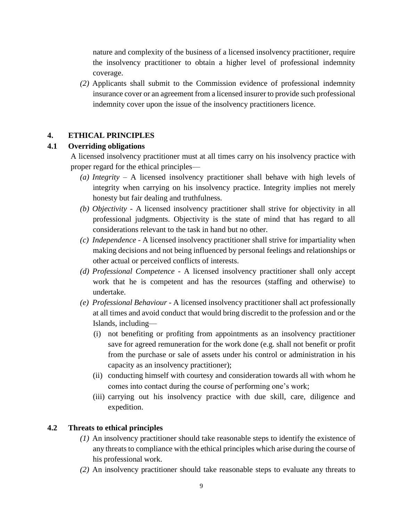nature and complexity of the business of a licensed insolvency practitioner, require the insolvency practitioner to obtain a higher level of professional indemnity coverage.

*(2)* Applicants shall submit to the Commission evidence of professional indemnity insurance cover or an agreement from a licensed insurer to provide such professional indemnity cover upon the issue of the insolvency practitioners licence.

# **4. ETHICAL PRINCIPLES**

## **4.1 Overriding obligations**

A licensed insolvency practitioner must at all times carry on his insolvency practice with proper regard for the ethical principles—

- *(a) Integrity* A licensed insolvency practitioner shall behave with high levels of integrity when carrying on his insolvency practice. Integrity implies not merely honesty but fair dealing and truthfulness.
- *(b) Objectivity* A licensed insolvency practitioner shall strive for objectivity in all professional judgments. Objectivity is the state of mind that has regard to all considerations relevant to the task in hand but no other.
- *(c) Independence* A licensed insolvency practitioner shall strive for impartiality when making decisions and not being influenced by personal feelings and relationships or other actual or perceived conflicts of interests.
- *(d) Professional Competence* A licensed insolvency practitioner shall only accept work that he is competent and has the resources (staffing and otherwise) to undertake.
- *(e) Professional Behaviour* A licensed insolvency practitioner shall act professionally at all times and avoid conduct that would bring discredit to the profession and or the Islands, including—
	- (i) not benefiting or profiting from appointments as an insolvency practitioner save for agreed remuneration for the work done (e.g. shall not benefit or profit from the purchase or sale of assets under his control or administration in his capacity as an insolvency practitioner);
	- (ii) conducting himself with courtesy and consideration towards all with whom he comes into contact during the course of performing one's work;
	- (iii) carrying out his insolvency practice with due skill, care, diligence and expedition.

## **4.2 Threats to ethical principles**

- *(1)* An insolvency practitioner should take reasonable steps to identify the existence of any threats to compliance with the ethical principles which arise during the course of his professional work.
- *(2)* An insolvency practitioner should take reasonable steps to evaluate any threats to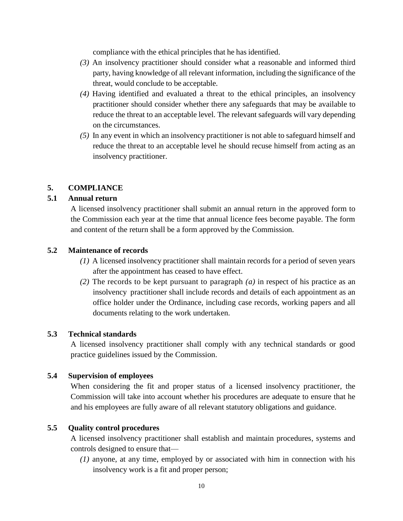compliance with the ethical principles that he has identified.

- *(3)* An insolvency practitioner should consider what a reasonable and informed third party, having knowledge of all relevant information, including the significance of the threat, would conclude to be acceptable.
- *(4)* Having identified and evaluated a threat to the ethical principles, an insolvency practitioner should consider whether there any safeguards that may be available to reduce the threat to an acceptable level. The relevant safeguards will vary depending on the circumstances.
- *(5)* In any event in which an insolvency practitioner is not able to safeguard himself and reduce the threat to an acceptable level he should recuse himself from acting as an insolvency practitioner.

#### **5. COMPLIANCE**

#### **5.1 Annual return**

A licensed insolvency practitioner shall submit an annual return in the approved form to the Commission each year at the time that annual licence fees become payable. The form and content of the return shall be a form approved by the Commission.

## **5.2 Maintenance of records**

- *(1)* A licensed insolvency practitioner shall maintain records for a period of seven years after the appointment has ceased to have effect.
- *(2)* The records to be kept pursuant to paragraph *(a)* in respect of his practice as an insolvency practitioner shall include records and details of each appointment as an office holder under the Ordinance, including case records, working papers and all documents relating to the work undertaken.

#### **5.3 Technical standards**

A licensed insolvency practitioner shall comply with any technical standards or good practice guidelines issued by the Commission.

#### **5.4 Supervision of employees**

When considering the fit and proper status of a licensed insolvency practitioner, the Commission will take into account whether his procedures are adequate to ensure that he and his employees are fully aware of all relevant statutory obligations and guidance.

#### **5.5 Quality control procedures**

A licensed insolvency practitioner shall establish and maintain procedures, systems and controls designed to ensure that—

*(1)* anyone, at any time, employed by or associated with him in connection with his insolvency work is a fit and proper person;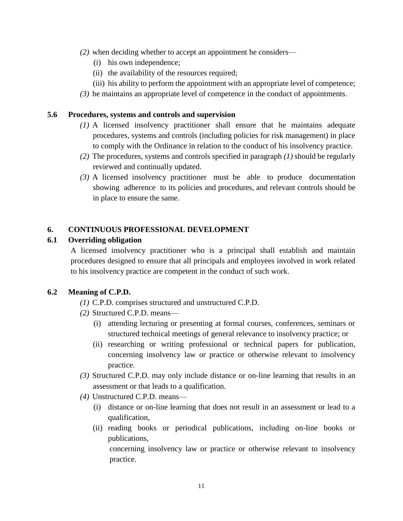- *(2)* when deciding whether to accept an appointment he considers—
	- (i) his own independence;
	- (ii) the availability of the resources required;
	- (iii) his ability to perform the appointment with an appropriate level of competence;
- *(3)* he maintains an appropriate level of competence in the conduct of appointments.

#### **5.6 Procedures, systems and controls and supervision**

- *(1)* A licensed insolvency practitioner shall ensure that he maintains adequate procedures, systems and controls (including policies for risk management) in place to comply with the Ordinance in relation to the conduct of his insolvency practice.
- *(2)* The procedures, systems and controls specified in paragraph *(1)* should be regularly reviewed and continually updated.
- *(3)* A licensed insolvency practitioner must be able to produce documentation showing adherence to its policies and procedures, and relevant controls should be in place to ensure the same.

#### **6. CONTINUOUS PROFESSIONAL DEVELOPMENT**

#### **6.1 Overriding obligation**

A licensed insolvency practitioner who is a principal shall establish and maintain procedures designed to ensure that all principals and employees involved in work related to his insolvency practice are competent in the conduct of such work.

#### **6.2 Meaning of C.P.D.**

- *(1)* C.P.D. comprises structured and unstructured C.P.D.
- *(2)* Structured C.P.D. means—
	- (i) attending lecturing or presenting at formal courses, conferences, seminars or structured technical meetings of general relevance to insolvency practice; or
	- (ii) researching or writing professional or technical papers for publication, concerning insolvency law or practice or otherwise relevant to insolvency practice.
- *(3)* Structured C.P.D. may only include distance or on-line learning that results in an assessment or that leads to a qualification.
- *(4)* Unstructured C.P.D. means—
	- (i) distance or on-line learning that does not result in an assessment or lead to a qualification,
	- (ii) reading books or periodical publications, including on-line books or publications,

concerning insolvency law or practice or otherwise relevant to insolvency practice.